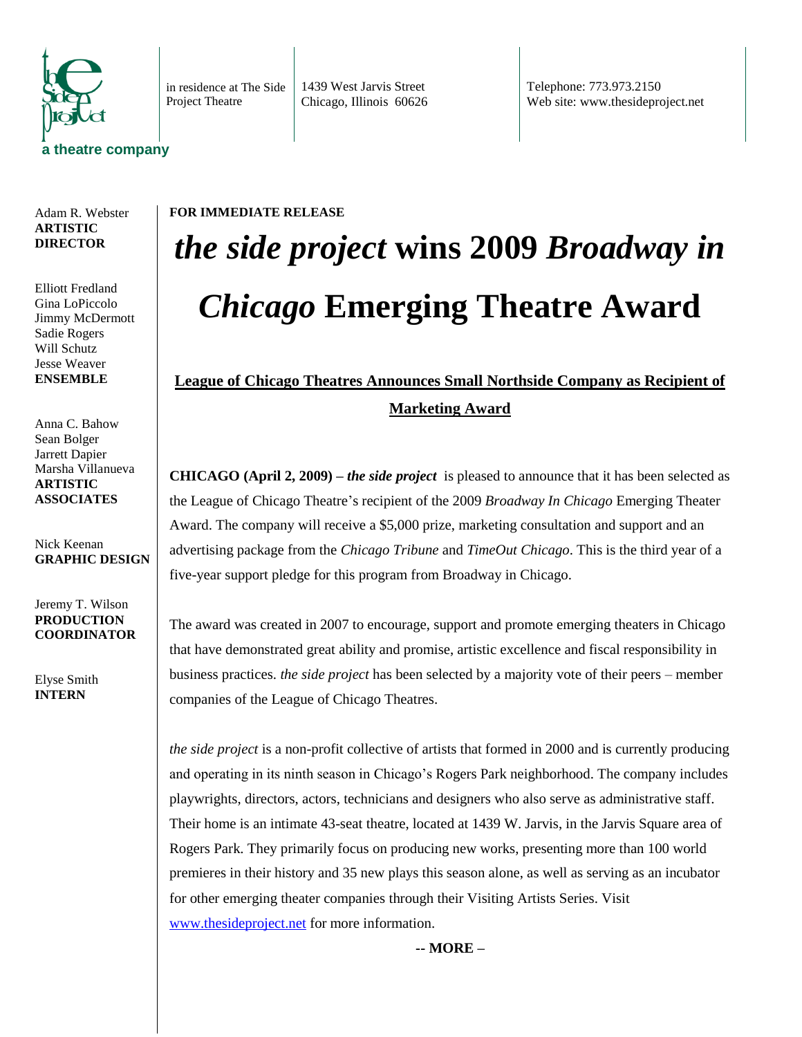

in residence at The Side Project Theatre

1439 West Jarvis Street Chicago, Illinois 60626 Telephone: 773.973.2150 Web site: www.thesideproject.net

## Adam R. Webster **ARTISTIC DIRECTOR**

Elliott Fredland Gina LoPiccolo Jimmy McDermott Sadie Rogers Will Schutz Jesse Weaver **ENSEMBLE**

Anna C. Bahow Sean Bolger Jarrett Dapier Marsha Villanueva **ARTISTIC ASSOCIATES**

Nick Keenan **GRAPHIC DESIGN**

Jeremy T. Wilson **PRODUCTION COORDINATOR**

Elyse Smith **INTERN**

## **FOR IMMEDIATE RELEASE** *the side project* **wins 2009** *Broadway in Chicago* **Emerging Theatre Award**

## **League of Chicago Theatres Announces Small Northside Company as Recipient of Marketing Award**

**CHICAGO (April 2, 2009) –** *the side project* is pleased to announce that it has been selected as the League of Chicago Theatre's recipient of the 2009 *Broadway In Chicago* Emerging Theater Award. The company will receive a \$5,000 prize, marketing consultation and support and an advertising package from the *Chicago Tribune* and *TimeOut Chicago*. This is the third year of a five-year support pledge for this program from Broadway in Chicago.

The award was created in 2007 to encourage, support and promote emerging theaters in Chicago that have demonstrated great ability and promise, artistic excellence and fiscal responsibility in business practices. *the side project* has been selected by a majority vote of their peers – member companies of the League of Chicago Theatres.

*the side project* is a non-profit collective of artists that formed in 2000 and is currently producing and operating in its ninth season in Chicago's Rogers Park neighborhood. The company includes playwrights, directors, actors, technicians and designers who also serve as administrative staff. Their home is an intimate 43-seat theatre, located at 1439 W. Jarvis, in the Jarvis Square area of Rogers Park. They primarily focus on producing new works, presenting more than 100 world premieres in their history and 35 new plays this season alone, as well as serving as an incubator for other emerging theater companies through their Visiting Artists Series. Visit [www.thesideproject.net](http://www.thesideproject.net/) for more information.

**-- MORE –**